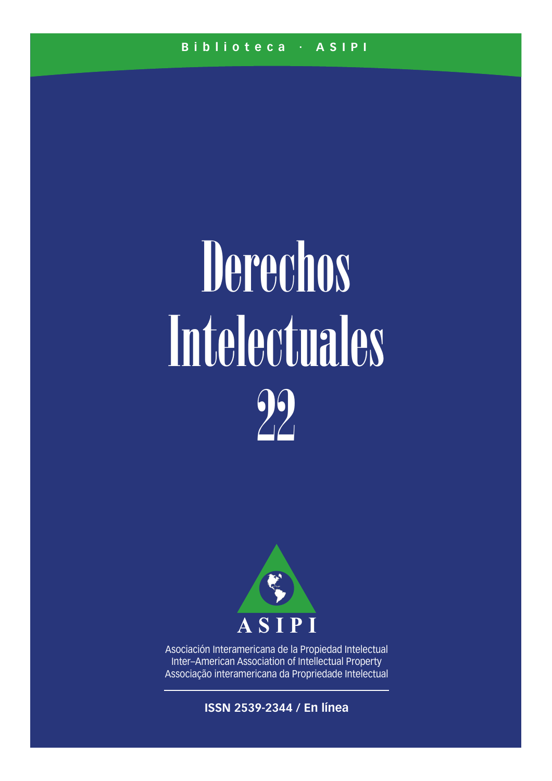# Derechos Intelectuales 22



Asociación Interamericana de la Propiedad Intelectual Inter–American Association of Intellectual Property Associação interamericana da Propriedade Intelectual

**ISSN 2539-2344 / En línea**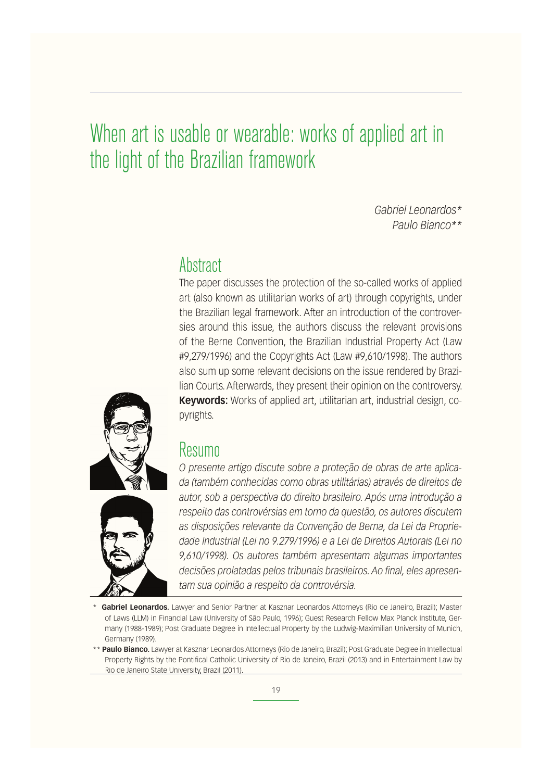# When art is usable or wearable: works of applied art in the light of the Brazilian framework

*Gabriel Leonardos\* Paulo Bianco\*\**

## **Abstract**

The paper discusses the protection of the so-called works of applied art (also known as utilitarian works of art) through copyrights, under the Brazilian legal framework. After an introduction of the controversies around this issue, the authors discuss the relevant provisions of the Berne Convention, the Brazilian Industrial Property Act (Law #9,279/1996) and the Copyrights Act (Law #9,610/1998). The authors also sum up some relevant decisions on the issue rendered by Brazilian Courts. Afterwards, they present their opinion on the controversy. **Keywords:** Works of applied art, utilitarian art, industrial design, copyrights.



### Resumo

*O presente artigo discute sobre a proteção de obras de arte aplicada (também conhecidas como obras utilitárias) através de direitos de autor, sob a perspectiva do direito brasileiro. Após uma introdução a respeito das controvérsias em torno da questão, os autores discutem as disposições relevante da Convenção de Berna, da Lei da Propriedade Industrial (Lei no 9.279/1996) e a Lei de Direitos Autorais (Lei no 9,610/1998). Os autores também apresentam algumas importantes decisões prolatadas pelos tribunais brasileiros. Ao final, eles apresentam sua opinião a respeito da controvérsia.*

- \* **Gabriel Leonardos.** Lawyer and Senior Partner at Kasznar Leonardos Attorneys (Rio de Janeiro, Brazil); Master of Laws (LLM) in Financial Law (University of São Paulo, 1996); Guest Research Fellow Max Planck Institute, Germany (1988-1989); Post Graduate Degree in Intellectual Property by the Ludwig-Maximilian University of Munich, Germany (1989).
- \*\* **Paulo Bianco.** Lawyer at Kasznar Leonardos Attorneys (Rio de Janeiro, Brazil); Post Graduate Degree in Intellectual Property Rights by the Pontifical Catholic University of Rio de Janeiro, Brazil (2013) and in Entertainment Law by Rio de Janeiro State University, Brazil (2011).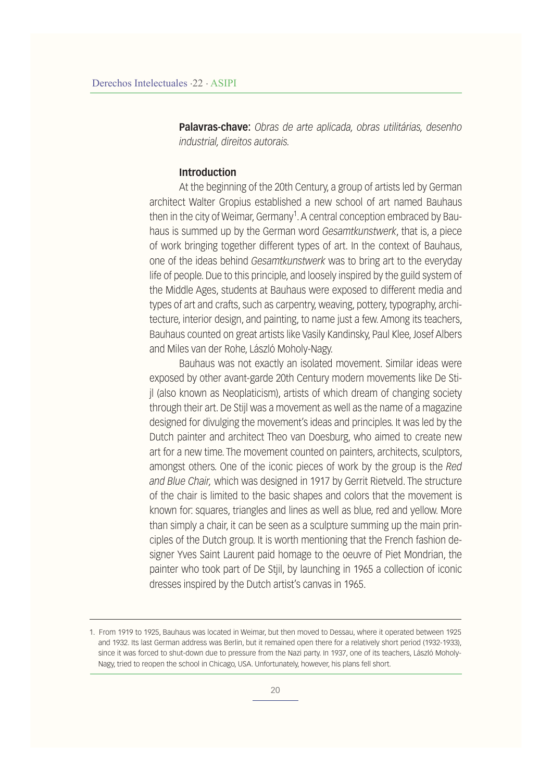**Palavras-chave:** *Obras de arte aplicada, obras utilitárias, desenho industrial, direitos autorais.*

#### **Introduction**

At the beginning of the 20th Century, a group of artists led by German architect Walter Gropius established a new school of art named Bauhaus then in the city of Weimar, Germany<sup>1</sup>. A central conception embraced by Bauhaus is summed up by the German word *Gesamtkunstwerk*, that is, a piece of work bringing together different types of art. In the context of Bauhaus, one of the ideas behind *Gesamtkunstwerk* was to bring art to the everyday life of people. Due to this principle, and loosely inspired by the guild system of the Middle Ages, students at Bauhaus were exposed to different media and types of art and crafts, such as carpentry, weaving, pottery, typography, architecture, interior design, and painting, to name just a few. Among its teachers, Bauhaus counted on great artists like Vasily Kandinsky, Paul Klee, Josef Albers and Miles van der Rohe, László Moholy-Nagy.

Bauhaus was not exactly an isolated movement. Similar ideas were exposed by other avant-garde 20th Century modern movements like De Stijl (also known as Neoplaticism), artists of which dream of changing society through their art. De Stijl was a movement as well as the name of a magazine designed for divulging the movement's ideas and principles. It was led by the Dutch painter and architect Theo van Doesburg, who aimed to create new art for a new time. The movement counted on painters, architects, sculptors, amongst others. One of the iconic pieces of work by the group is the *Red and Blue Chair,* which was designed in 1917 by Gerrit Rietveld. The structure of the chair is limited to the basic shapes and colors that the movement is known for: squares, triangles and lines as well as blue, red and yellow. More than simply a chair, it can be seen as a sculpture summing up the main principles of the Dutch group. It is worth mentioning that the French fashion designer Yves Saint Laurent paid homage to the oeuvre of Piet Mondrian, the painter who took part of De Stjil, by launching in 1965 a collection of iconic dresses inspired by the Dutch artist's canvas in 1965.

<sup>1.</sup> From 1919 to 1925, Bauhaus was located in Weimar, but then moved to Dessau, where it operated between 1925 and 1932. Its last German address was Berlin, but it remained open there for a relatively short period (1932-1933), since it was forced to shut-down due to pressure from the Nazi party. In 1937, one of its teachers, László Moholy-Nagy, tried to reopen the school in Chicago, USA. Unfortunately, however, his plans fell short.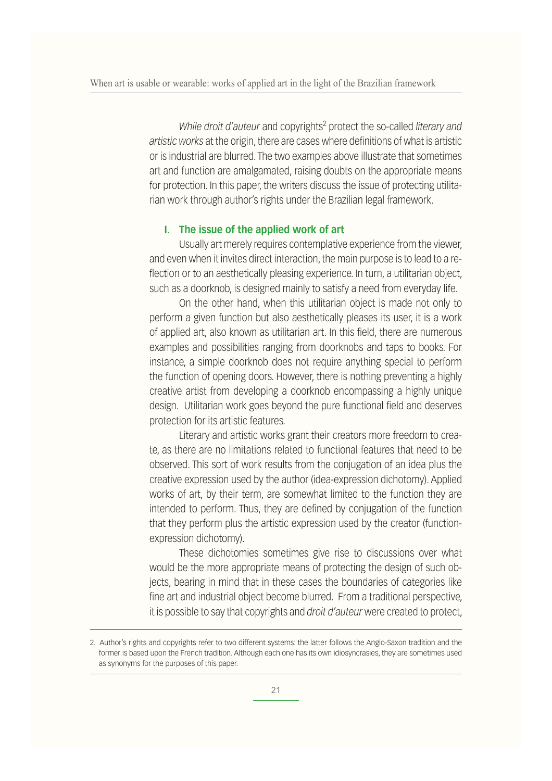While droit d'auteur and copyrights<sup>2</sup> protect the so-called literary and *artistic works* at the origin, there are cases where definitions of what is artistic or is industrial are blurred. The two examples above illustrate that sometimes art and function are amalgamated, raising doubts on the appropriate means for protection. In this paper, the writers discuss the issue of protecting utilitarian work through author's rights under the Brazilian legal framework.

#### **I. The issue of the applied work of art**

Usually art merely requires contemplative experience from the viewer, and even when it invites direct interaction, the main purpose is to lead to a reflection or to an aesthetically pleasing experience. In turn, a utilitarian object, such as a doorknob, is designed mainly to satisfy a need from everyday life.

On the other hand, when this utilitarian object is made not only to perform a given function but also aesthetically pleases its user, it is a work of applied art, also known as utilitarian art. In this field, there are numerous examples and possibilities ranging from doorknobs and taps to books. For instance, a simple doorknob does not require anything special to perform the function of opening doors. However, there is nothing preventing a highly creative artist from developing a doorknob encompassing a highly unique design. Utilitarian work goes beyond the pure functional field and deserves protection for its artistic features.

Literary and artistic works grant their creators more freedom to create, as there are no limitations related to functional features that need to be observed. This sort of work results from the conjugation of an idea plus the creative expression used by the author (idea-expression dichotomy). Applied works of art, by their term, are somewhat limited to the function they are intended to perform. Thus, they are defined by conjugation of the function that they perform plus the artistic expression used by the creator (functionexpression dichotomy).

These dichotomies sometimes give rise to discussions over what would be the more appropriate means of protecting the design of such objects, bearing in mind that in these cases the boundaries of categories like fine art and industrial object become blurred. From a traditional perspective, it is possible to say that copyrights and *droit d'auteur* were created to protect,

<sup>2.</sup> Author's rights and copyrights refer to two different systems: the latter follows the Anglo-Saxon tradition and the former is based upon the French tradition. Although each one has its own idiosyncrasies, they are sometimes used as synonyms for the purposes of this paper.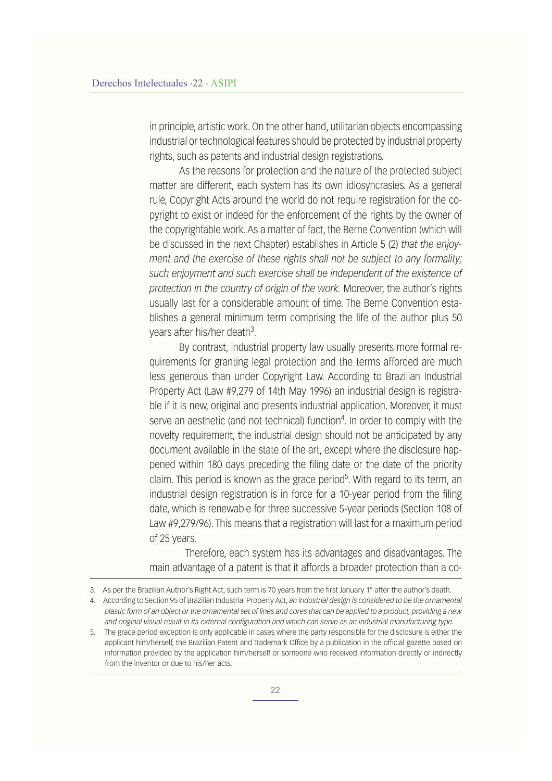in principle, artistic work. On the other hand, utilitarian objects encompassing industrial or technological features should be protected by industrial property rights, such as patents and industrial design registrations.

As the reasons for protection and the nature of the protected subject matter are different, each system has its own idiosyncrasies. As a general rule, Copyright Acts around the world do not require registration for the copyright to exist or indeed for the enforcement of the rights by the owner of the copyrightable work. As a matter of fact, the Berne Convention (which will be discussed in the next Chapter) establishes in Article 5 (2) *that the enjoyment and the exercise of these rights shall not be subject to any formality; such enjoyment and such exercise shall be independent of the existence of protection in the country of origin of the work.* Moreover, the author's rights usually last for a considerable amount of time. The Berne Convention establishes a general minimum term comprising the life of the author plus 50 years after his/her death<sup>3</sup>.

By contrast, industrial property law usually presents more formal requirements for granting legal protection and the terms afforded are much less generous than under Copyright Law. According to Brazilian Industrial Property Act (Law #9,279 of 14th May 1996) an industrial design is registrable if it is new, original and presents industrial application. Moreover, it must serve an aesthetic (and not technical) function<sup>4</sup>. In order to comply with the novelty requirement, the industrial design should not be anticipated by any document available in the state of the art, except where the disclosure happened within 180 days preceding the filing date or the date of the priority claim. This period is known as the grace period<sup>5</sup>. With regard to its term, an industrial design registration is in force for a 10-year period from the filing date, which is renewable for three successive 5-year periods (Section 108 of Law #9,279/96). This means that a registration will last for a maximum period of 25 years.

 Therefore, each system has its advantages and disadvantages. The main advantage of a patent is that it affords a broader protection than a co-

<sup>3.</sup> As per the Brazilian Author's Right Act, such term is 70 years from the first January 1° after the author's death.

<sup>4.</sup> According to Section 95 of Brazilian Industrial Property Act, *an industrial design is considered to be the ornamental plastic form of an object or the ornamental set of lines and cores that can be applied to a product, providing a new and original visual result in its external configuration and which can serve as an industrial manufacturing type.* 

<sup>5.</sup> The grace period exception is only applicable in cases where the party responsible for the disclosure is either the applicant him/herself, the Brazilian Patent and Trademark Office by a publication in the official gazette based on information provided by the application him/herself or someone who received information directly or indirectly from the inventor or due to his/her acts.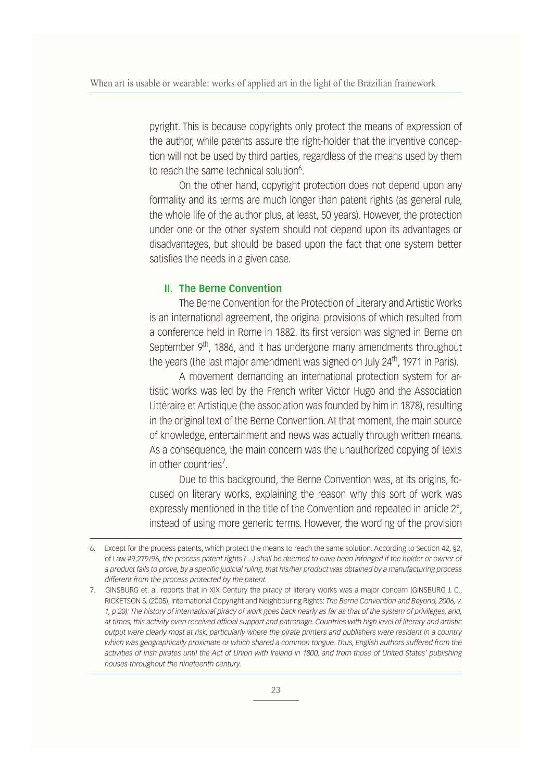pyright. This is because copyrights only protect the means of expression of the author, while patents assure the right-holder that the inventive conception will not be used by third parties, regardless of the means used by them to reach the same technical solution<sup>6</sup>.

On the other hand, copyright protection does not depend upon any formality and its terms are much longer than patent rights (as general rule, the whole life of the author plus, at least, 50 years). However, the protection under one or the other system should not depend upon its advantages or disadvantages, but should be based upon the fact that one system better satisfies the needs in a given case.

#### **II. The Berne Convention**

The Berne Convention for the Protection of Literary and Artistic Works is an international agreement, the original provisions of which resulted from a conference held in Rome in 1882. Its first version was signed in Berne on September  $9<sup>th</sup>$ , 1886, and it has undergone many amendments throughout the years (the last major amendment was signed on July  $24<sup>th</sup>$ , 1971 in Paris).

A movement demanding an international protection system for artistic works was led by the French writer Victor Hugo and the Association Littéraire et Artistique (the association was founded by him in 1878), resulting in the original text of the Berne Convention. At that moment, the main source of knowledge, entertainment and news was actually through written means. As a consequence, the main concern was the unauthorized copying of texts in other countries<sup>7</sup>.

Due to this background, the Berne Convention was, at its origins, focused on literary works, explaining the reason why this sort of work was expressly mentioned in the title of the Convention and repeated in article 2°, instead of using more generic terms. However, the wording of the provision

<sup>6.</sup> Except for the process patents, which protect the means to reach the same solution. According to Section 42, §2, of Law #9,279/96, *the process patent rights (…) shall be deemed to have been infringed if the holder or owner of a product fails to prove, by a specific judicial ruling, that his/her product was obtained by a manufacturing process different from the process protected by the patent.*

<sup>7.</sup> GINSBURG et. al. reports that in XIX Century the piracy of literary works was a major concern (GINSBURG J. C., RICKETSON S. (2005), International Copyright and Neighbouring Rights: *The Berne Convention and Beyond, 2006, v. 1, p 20): The history of international piracy of work goes back nearly as far as that of the system of privileges; and, at times, this activity even received official support and patronage. Countries with high level of literary and artistic output were clearly most at risk, particularly where the pirate printers and publishers were resident in a country which was geographically proximate or which shared a common tongue. Thus, English authors suffered from the activities of Irish pirates until the Act of Union with Ireland in 1800, and from those of United States' publishing houses throughout the nineteenth century.*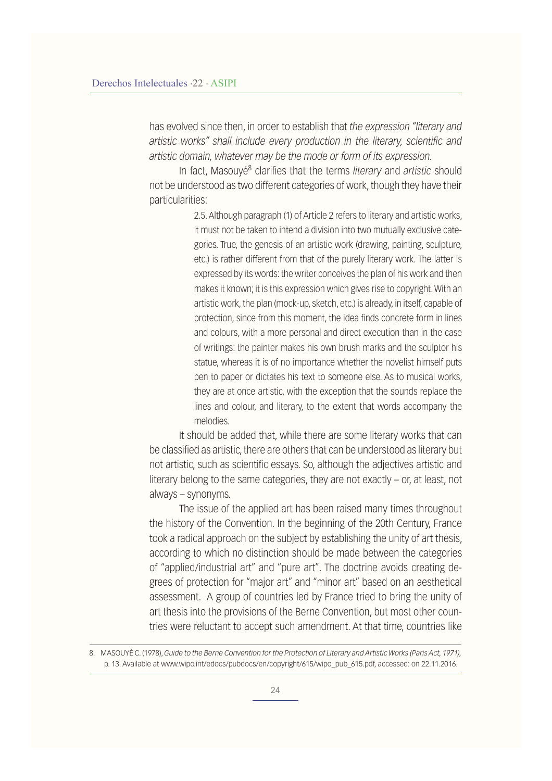has evolved since then, in order to establish that *the expression "literary and artistic works" shall include every production in the literary, scientific and artistic domain, whatever may be the mode or form of its expression.*

In fact, Masouyé<sup>8</sup> clarifies that the terms *literary* and *artistic* should not be understood as two different categories of work, though they have their particularities:

> 2.5. Although paragraph (1) of Article 2 refers to literary and artistic works, it must not be taken to intend a division into two mutually exclusive categories. True, the genesis of an artistic work (drawing, painting, sculpture, etc.) is rather different from that of the purely literary work. The latter is expressed by its words: the writer conceives the plan of his work and then makes it known; it is this expression which gives rise to copyright. With an artistic work, the plan (mock-up, sketch, etc.) is already, in itself, capable of protection, since from this moment, the idea finds concrete form in lines and colours, with a more personal and direct execution than in the case of writings: the painter makes his own brush marks and the sculptor his statue, whereas it is of no importance whether the novelist himself puts pen to paper or dictates his text to someone else. As to musical works, they are at once artistic, with the exception that the sounds replace the lines and colour, and literary, to the extent that words accompany the melodies.

It should be added that, while there are some literary works that can be classified as artistic, there are others that can be understood as literary but not artistic, such as scientific essays. So, although the adjectives artistic and literary belong to the same categories, they are not exactly – or, at least, not always – synonyms.

The issue of the applied art has been raised many times throughout the history of the Convention. In the beginning of the 20th Century, France took a radical approach on the subject by establishing the unity of art thesis, according to which no distinction should be made between the categories of "applied/industrial art" and "pure art". The doctrine avoids creating degrees of protection for "major art" and "minor art" based on an aesthetical assessment. A group of countries led by France tried to bring the unity of art thesis into the provisions of the Berne Convention, but most other countries were reluctant to accept such amendment. At that time, countries like

8. MASOUYÉ C. (1978), *Guide to the Berne Convention for the Protection of Literary and Artistic Works (Paris Act, 1971),*  p. 13. Available at www.wipo.int/edocs/pubdocs/en/copyright/615/wipo\_pub\_615.pdf, accessed: on 22.11.2016.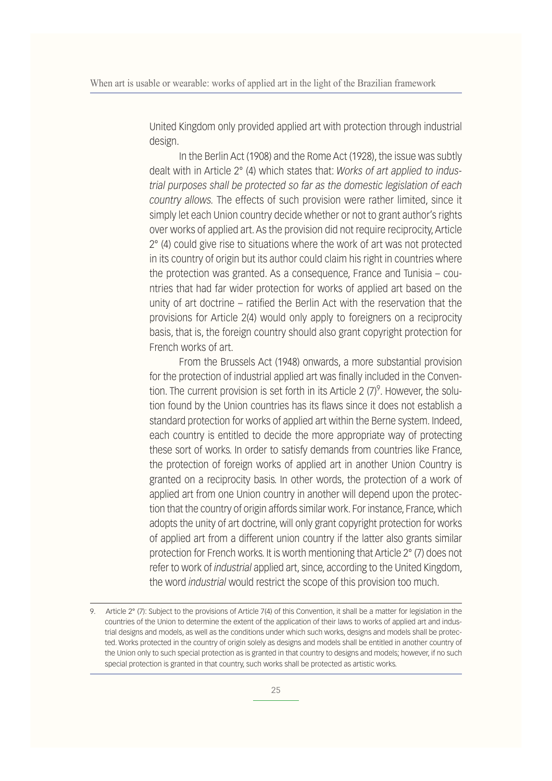United Kingdom only provided applied art with protection through industrial design.

In the Berlin Act (1908) and the Rome Act (1928), the issue was subtly dealt with in Article 2° (4) which states that: *Works of art applied to industrial purposes shall be protected so far as the domestic legislation of each country allows.* The effects of such provision were rather limited, since it simply let each Union country decide whether or not to grant author's rights over works of applied art. As the provision did not require reciprocity, Article 2° (4) could give rise to situations where the work of art was not protected in its country of origin but its author could claim his right in countries where the protection was granted. As a consequence, France and Tunisia – countries that had far wider protection for works of applied art based on the unity of art doctrine – ratified the Berlin Act with the reservation that the provisions for Article 2(4) would only apply to foreigners on a reciprocity basis, that is, the foreign country should also grant copyright protection for French works of art.

From the Brussels Act (1948) onwards, a more substantial provision for the protection of industrial applied art was finally included in the Convention. The current provision is set forth in its Article 2  $(7)^9$ . However, the solution found by the Union countries has its flaws since it does not establish a standard protection for works of applied art within the Berne system. Indeed, each country is entitled to decide the more appropriate way of protecting these sort of works. In order to satisfy demands from countries like France, the protection of foreign works of applied art in another Union Country is granted on a reciprocity basis. In other words, the protection of a work of applied art from one Union country in another will depend upon the protection that the country of origin affords similar work. For instance, France, which adopts the unity of art doctrine, will only grant copyright protection for works of applied art from a different union country if the latter also grants similar protection for French works. It is worth mentioning that Article 2° (7) does not refer to work of *industrial* applied art, since, according to the United Kingdom, the word *industrial* would restrict the scope of this provision too much.

<sup>9.</sup> Article 2° (7): Subject to the provisions of Article 7(4) of this Convention, it shall be a matter for legislation in the countries of the Union to determine the extent of the application of their laws to works of applied art and industrial designs and models, as well as the conditions under which such works, designs and models shall be protected. Works protected in the country of origin solely as designs and models shall be entitled in another country of the Union only to such special protection as is granted in that country to designs and models; however, if no such special protection is granted in that country, such works shall be protected as artistic works.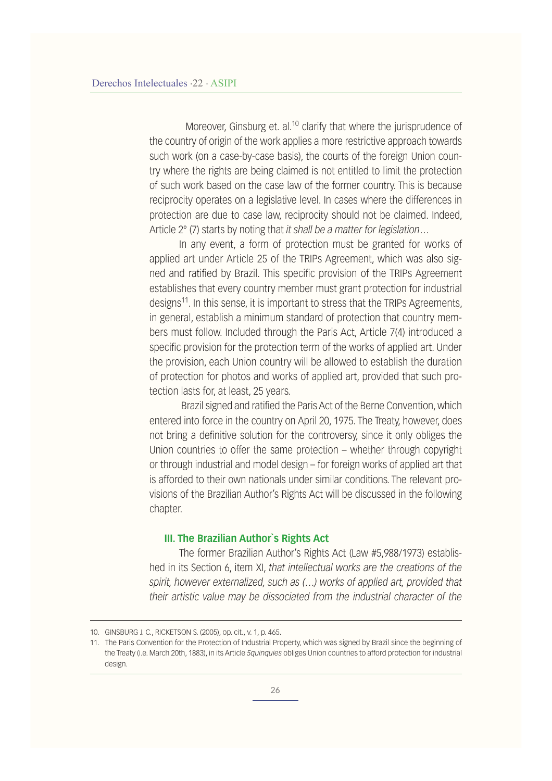Moreover, Ginsburg et. al.<sup>10</sup> clarify that where the jurisprudence of the country of origin of the work applies a more restrictive approach towards such work (on a case-by-case basis), the courts of the foreign Union country where the rights are being claimed is not entitled to limit the protection of such work based on the case law of the former country. This is because reciprocity operates on a legislative level. In cases where the differences in protection are due to case law, reciprocity should not be claimed. Indeed, Article 2° (7) starts by noting that *it shall be a matter for legislation…*

In any event, a form of protection must be granted for works of applied art under Article 25 of the TRIPs Agreement, which was also signed and ratified by Brazil. This specific provision of the TRIPs Agreement establishes that every country member must grant protection for industrial designs<sup>11</sup>. In this sense, it is important to stress that the TRIPs Agreements, in general, establish a minimum standard of protection that country members must follow. Included through the Paris Act, Article 7(4) introduced a specific provision for the protection term of the works of applied art. Under the provision, each Union country will be allowed to establish the duration of protection for photos and works of applied art, provided that such protection lasts for, at least, 25 years.

 Brazil signed and ratified the Paris Act of the Berne Convention, which entered into force in the country on April 20, 1975. The Treaty, however, does not bring a definitive solution for the controversy, since it only obliges the Union countries to offer the same protection – whether through copyright or through industrial and model design – for foreign works of applied art that is afforded to their own nationals under similar conditions. The relevant provisions of the Brazilian Author's Rights Act will be discussed in the following chapter.

#### **III. The Brazilian Author`s Rights Act**

The former Brazilian Author's Rights Act (Law #5,988/1973) established in its Section 6, item XI, *that intellectual works are the creations of the spirit, however externalized, such as (…) works of applied art, provided that their artistic value may be dissociated from the industrial character of the* 

<sup>10.</sup> GINSBURG J. C., RICKETSON S. (2005), op. cit., v. 1, p. 465.

<sup>11.</sup> The Paris Convention for the Protection of Industrial Property, which was signed by Brazil since the beginning of the Treaty (i.e. March 20th, 1883), in its Article *5quinquies* obliges Union countries to afford protection for industrial design.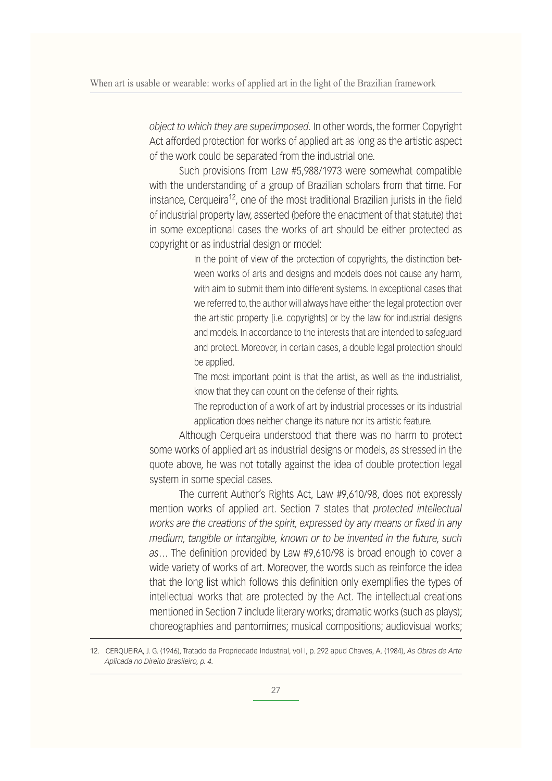*object to which they are superimposed.* In other words, the former Copyright Act afforded protection for works of applied art as long as the artistic aspect of the work could be separated from the industrial one.

Such provisions from Law #5,988/1973 were somewhat compatible with the understanding of a group of Brazilian scholars from that time. For instance, Cerqueira<sup>12</sup>, one of the most traditional Brazilian jurists in the field of industrial property law, asserted (before the enactment of that statute) that in some exceptional cases the works of art should be either protected as copyright or as industrial design or model:

> In the point of view of the protection of copyrights, the distinction between works of arts and designs and models does not cause any harm, with aim to submit them into different systems. In exceptional cases that we referred to, the author will always have either the legal protection over the artistic property [i.e. copyrights] or by the law for industrial designs and models. In accordance to the interests that are intended to safeguard and protect. Moreover, in certain cases, a double legal protection should be applied.

> The most important point is that the artist, as well as the industrialist, know that they can count on the defense of their rights.

> The reproduction of a work of art by industrial processes or its industrial application does neither change its nature nor its artistic feature.

Although Cerqueira understood that there was no harm to protect some works of applied art as industrial designs or models, as stressed in the quote above, he was not totally against the idea of double protection legal system in some special cases.

The current Author's Rights Act, Law #9,610/98, does not expressly mention works of applied art. Section 7 states that *protected intellectual works are the creations of the spirit, expressed by any means or fixed in any medium, tangible or intangible, known or to be invented in the future, such as…* The definition provided by Law #9,610/98 is broad enough to cover a wide variety of works of art. Moreover, the words such as reinforce the idea that the long list which follows this definition only exemplifies the types of intellectual works that are protected by the Act. The intellectual creations mentioned in Section 7 include literary works; dramatic works (such as plays); choreographies and pantomimes; musical compositions; audiovisual works;

12. CERQUEIRA, J. G. (1946), Tratado da Propriedade Industrial, vol I, p. 292 apud Chaves, A. (1984), *As Obras de Arte Aplicada no Direito Brasileiro, p. 4.*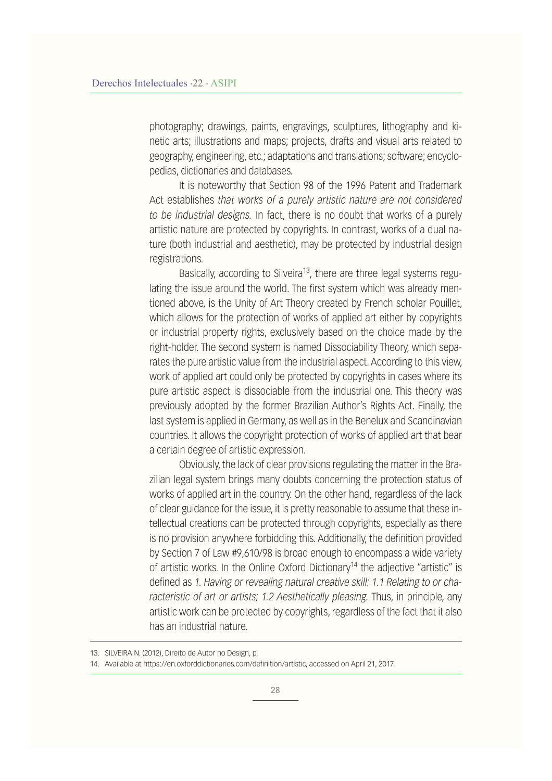photography; drawings, paints, engravings, sculptures, lithography and kinetic arts; illustrations and maps; projects, drafts and visual arts related to geography, engineering, etc.; adaptations and translations; software; encyclopedias, dictionaries and databases.

It is noteworthy that Section 98 of the 1996 Patent and Trademark Act establishes *that works of a purely artistic nature are not considered to be industrial designs.* In fact, there is no doubt that works of a purely artistic nature are protected by copyrights. In contrast, works of a dual nature (both industrial and aesthetic), may be protected by industrial design registrations.

Basically, according to Silveira<sup>13</sup>, there are three legal systems regulating the issue around the world. The first system which was already mentioned above, is the Unity of Art Theory created by French scholar Pouillet, which allows for the protection of works of applied art either by copyrights or industrial property rights, exclusively based on the choice made by the right-holder. The second system is named Dissociability Theory, which separates the pure artistic value from the industrial aspect. According to this view, work of applied art could only be protected by copyrights in cases where its pure artistic aspect is dissociable from the industrial one. This theory was previously adopted by the former Brazilian Author's Rights Act. Finally, the last system is applied in Germany, as well as in the Benelux and Scandinavian countries. It allows the copyright protection of works of applied art that bear a certain degree of artistic expression.

Obviously, the lack of clear provisions regulating the matter in the Brazilian legal system brings many doubts concerning the protection status of works of applied art in the country. On the other hand, regardless of the lack of clear guidance for the issue, it is pretty reasonable to assume that these intellectual creations can be protected through copyrights, especially as there is no provision anywhere forbidding this. Additionally, the definition provided by Section 7 of Law #9,610/98 is broad enough to encompass a wide variety of artistic works. In the Online Oxford Dictionary<sup>14</sup> the adjective "artistic" is defined as *1. Having or revealing natural creative skill: 1.1 Relating to or characteristic of art or artists; 1.2 Aesthetically pleasing.* Thus, in principle, any artistic work can be protected by copyrights, regardless of the fact that it also has an industrial nature.

<sup>13.</sup> SILVEIRA N. (2012), Direito de Autor no Design, p.

<sup>14.</sup> Available at https://en.oxforddictionaries.com/definition/artistic, accessed on April 21, 2017.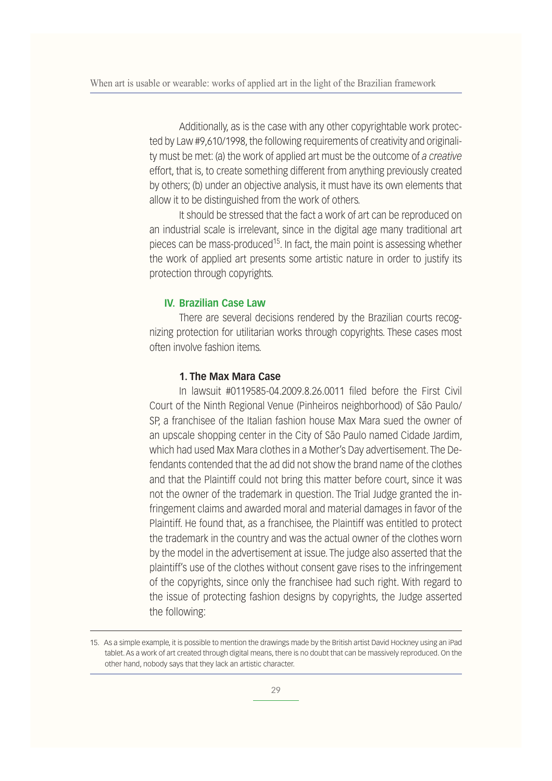Additionally, as is the case with any other copyrightable work protected by Law #9,610/1998, the following requirements of creativity and originality must be met: (a) the work of applied art must be the outcome of *a creative*  effort, that is, to create something different from anything previously created by others; (b) under an objective analysis, it must have its own elements that allow it to be distinguished from the work of others.

It should be stressed that the fact a work of art can be reproduced on an industrial scale is irrelevant, since in the digital age many traditional art pieces can be mass-produced<sup>15</sup>. In fact, the main point is assessing whether the work of applied art presents some artistic nature in order to justify its protection through copyrights.

#### **IV. Brazilian Case Law**

There are several decisions rendered by the Brazilian courts recognizing protection for utilitarian works through copyrights. These cases most often involve fashion items.

#### **1. The Max Mara Case**

In lawsuit #0119585-04.2009.8.26.0011 filed before the First Civil Court of the Ninth Regional Venue (Pinheiros neighborhood) of São Paulo/ SP, a franchisee of the Italian fashion house Max Mara sued the owner of an upscale shopping center in the City of São Paulo named Cidade Jardim, which had used Max Mara clothes in a Mother's Day advertisement. The Defendants contended that the ad did not show the brand name of the clothes and that the Plaintiff could not bring this matter before court, since it was not the owner of the trademark in question. The Trial Judge granted the infringement claims and awarded moral and material damages in favor of the Plaintiff. He found that, as a franchisee, the Plaintiff was entitled to protect the trademark in the country and was the actual owner of the clothes worn by the model in the advertisement at issue. The judge also asserted that the plaintiff's use of the clothes without consent gave rises to the infringement of the copyrights, since only the franchisee had such right. With regard to the issue of protecting fashion designs by copyrights, the Judge asserted the following:

<sup>15.</sup> As a simple example, it is possible to mention the drawings made by the British artist David Hockney using an iPad tablet. As a work of art created through digital means, there is no doubt that can be massively reproduced. On the other hand, nobody says that they lack an artistic character.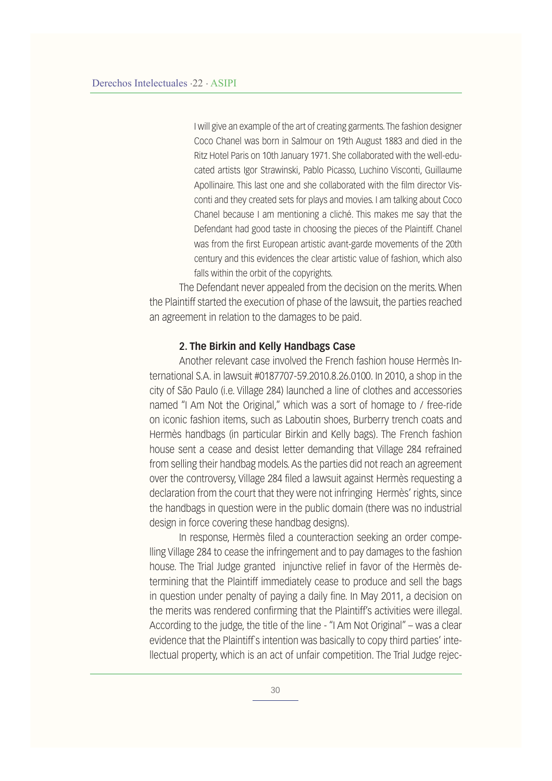I will give an example of the art of creating garments. The fashion designer Coco Chanel was born in Salmour on 19th August 1883 and died in the Ritz Hotel Paris on 10th January 1971. She collaborated with the well-educated artists Igor Strawinski, Pablo Picasso, Luchino Visconti, Guillaume Apollinaire. This last one and she collaborated with the film director Visconti and they created sets for plays and movies. I am talking about Coco Chanel because I am mentioning a cliché. This makes me say that the Defendant had good taste in choosing the pieces of the Plaintiff. Chanel was from the first European artistic avant-garde movements of the 20th century and this evidences the clear artistic value of fashion, which also falls within the orbit of the copyrights.

The Defendant never appealed from the decision on the merits. When the Plaintiff started the execution of phase of the lawsuit, the parties reached an agreement in relation to the damages to be paid.

#### **2. The Birkin and Kelly Handbags Case**

Another relevant case involved the French fashion house Hermès International S.A. in lawsuit #0187707-59.2010.8.26.0100. In 2010, a shop in the city of São Paulo (i.e. Village 284) launched a line of clothes and accessories named "I Am Not the Original," which was a sort of homage to / free-ride on iconic fashion items, such as Laboutin shoes, Burberry trench coats and Hermès handbags (in particular Birkin and Kelly bags). The French fashion house sent a cease and desist letter demanding that Village 284 refrained from selling their handbag models. As the parties did not reach an agreement over the controversy, Village 284 filed a lawsuit against Hermès requesting a declaration from the court that they were not infringing Hermès' rights, since the handbags in question were in the public domain (there was no industrial design in force covering these handbag designs).

In response, Hermès filed a counteraction seeking an order compelling Village 284 to cease the infringement and to pay damages to the fashion house. The Trial Judge granted injunctive relief in favor of the Hermès determining that the Plaintiff immediately cease to produce and sell the bags in question under penalty of paying a daily fine. In May 2011, a decision on the merits was rendered confirming that the Plaintiff's activities were illegal. According to the judge, the title of the line - "I Am Not Original" – was a clear evidence that the Plaintiff's intention was basically to copy third parties' intellectual property, which is an act of unfair competition. The Trial Judge rejec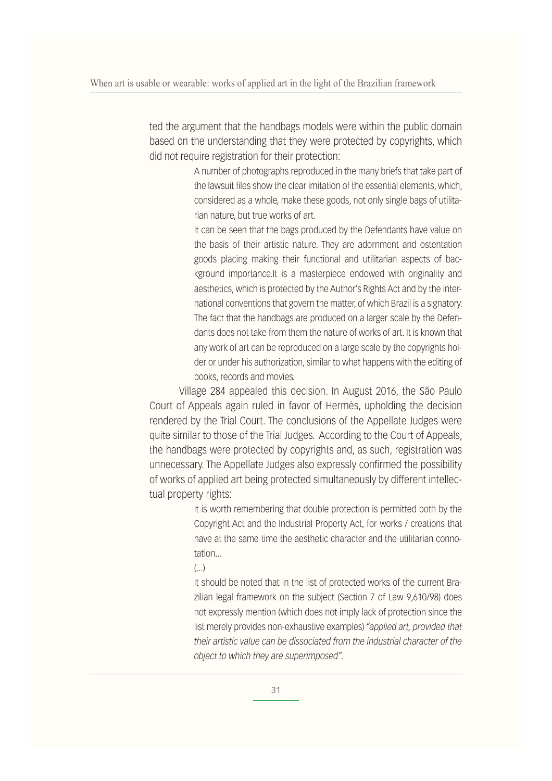ted the argument that the handbags models were within the public domain based on the understanding that they were protected by copyrights, which did not require registration for their protection:

> A number of photographs reproduced in the many briefs that take part of the lawsuit files show the clear imitation of the essential elements, which, considered as a whole, make these goods, not only single bags of utilitarian nature, but true works of art.

> It can be seen that the bags produced by the Defendants have value on the basis of their artistic nature. They are adornment and ostentation goods placing making their functional and utilitarian aspects of background importance.It is a masterpiece endowed with originality and aesthetics, which is protected by the Author's Rights Act and by the international conventions that govern the matter, of which Brazil is a signatory. The fact that the handbags are produced on a larger scale by the Defendants does not take from them the nature of works of art. It is known that any work of art can be reproduced on a large scale by the copyrights holder or under his authorization, similar to what happens with the editing of books, records and movies.

Village 284 appealed this decision. In August 2016, the São Paulo Court of Appeals again ruled in favor of Hermès, upholding the decision rendered by the Trial Court. The conclusions of the Appellate Judges were quite similar to those of the Trial Judges. According to the Court of Appeals, the handbags were protected by copyrights and, as such, registration was unnecessary. The Appellate Judges also expressly confirmed the possibility of works of applied art being protected simultaneously by different intellectual property rights:

> It is worth remembering that double protection is permitted both by the Copyright Act and the Industrial Property Act, for works / creations that have at the same time the aesthetic character and the utilitarian connotation...

(...)

It should be noted that in the list of protected works of the current Brazilian legal framework on the subject (Section 7 of Law 9,610/98) does not expressly mention (which does not imply lack of protection since the list merely provides non-exhaustive examples) *"applied art, provided that their artistic value can be dissociated from the industrial character of the object to which they are superimposed".*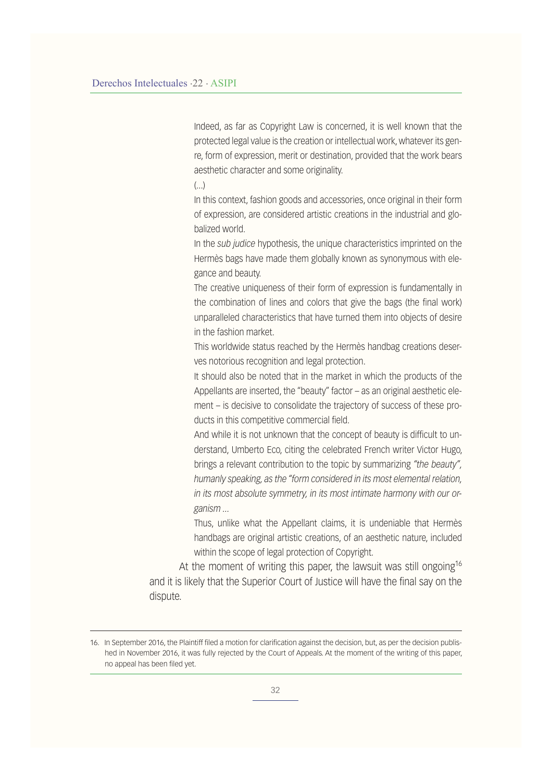Indeed, as far as Copyright Law is concerned, it is well known that the protected legal value is the creation or intellectual work, whatever its genre, form of expression, merit or destination, provided that the work bears aesthetic character and some originality.

 $\left(\ldots\right)$ 

In this context, fashion goods and accessories, once original in their form of expression, are considered artistic creations in the industrial and globalized world.

In the *sub judice* hypothesis, the unique characteristics imprinted on the Hermès bags have made them globally known as synonymous with elegance and beauty.

The creative uniqueness of their form of expression is fundamentally in the combination of lines and colors that give the bags (the final work) unparalleled characteristics that have turned them into objects of desire in the fashion market.

This worldwide status reached by the Hermès handbag creations deserves notorious recognition and legal protection.

It should also be noted that in the market in which the products of the Appellants are inserted, the "beauty" factor – as an original aesthetic element – is decisive to consolidate the trajectory of success of these products in this competitive commercial field.

And while it is not unknown that the concept of beauty is difficult to understand, Umberto Eco, citing the celebrated French writer Victor Hugo, brings a relevant contribution to the topic by summarizing *"the beauty", humanly speaking, as the "form considered in its most elemental relation, in its most absolute symmetry, in its most intimate harmony with our organism ...* 

Thus, unlike what the Appellant claims, it is undeniable that Hermès handbags are original artistic creations, of an aesthetic nature, included within the scope of legal protection of Copyright.

At the moment of writing this paper, the lawsuit was still ongoing<sup>16</sup> and it is likely that the Superior Court of Justice will have the final say on the dispute.

<sup>16.</sup> In September 2016, the Plaintiff filed a motion for clarification against the decision, but, as per the decision published in November 2016, it was fully rejected by the Court of Appeals. At the moment of the writing of this paper, no appeal has been filed yet.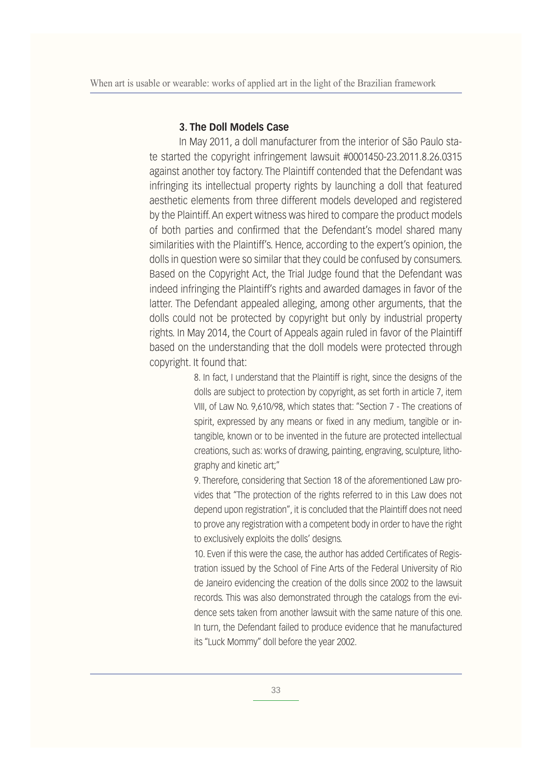#### **3. The Doll Models Case**

In May 2011, a doll manufacturer from the interior of São Paulo state started the copyright infringement lawsuit #0001450-23.2011.8.26.0315 against another toy factory. The Plaintiff contended that the Defendant was infringing its intellectual property rights by launching a doll that featured aesthetic elements from three different models developed and registered by the Plaintiff. An expert witness was hired to compare the product models of both parties and confirmed that the Defendant's model shared many similarities with the Plaintiff's. Hence, according to the expert's opinion, the dolls in question were so similar that they could be confused by consumers. Based on the Copyright Act, the Trial Judge found that the Defendant was indeed infringing the Plaintiff's rights and awarded damages in favor of the latter. The Defendant appealed alleging, among other arguments, that the dolls could not be protected by copyright but only by industrial property rights. In May 2014, the Court of Appeals again ruled in favor of the Plaintiff based on the understanding that the doll models were protected through copyright. It found that:

> 8. In fact, I understand that the Plaintiff is right, since the designs of the dolls are subject to protection by copyright, as set forth in article 7, item VIII, of Law No. 9,610/98, which states that: "Section 7 - The creations of spirit, expressed by any means or fixed in any medium, tangible or intangible, known or to be invented in the future are protected intellectual creations, such as: works of drawing, painting, engraving, sculpture, lithography and kinetic art;"

> 9. Therefore, considering that Section 18 of the aforementioned Law provides that "The protection of the rights referred to in this Law does not depend upon registration", it is concluded that the Plaintiff does not need to prove any registration with a competent body in order to have the right to exclusively exploits the dolls' designs.

> 10. Even if this were the case, the author has added Certificates of Registration issued by the School of Fine Arts of the Federal University of Rio de Janeiro evidencing the creation of the dolls since 2002 to the lawsuit records. This was also demonstrated through the catalogs from the evidence sets taken from another lawsuit with the same nature of this one. In turn, the Defendant failed to produce evidence that he manufactured its "Luck Mommy" doll before the year 2002.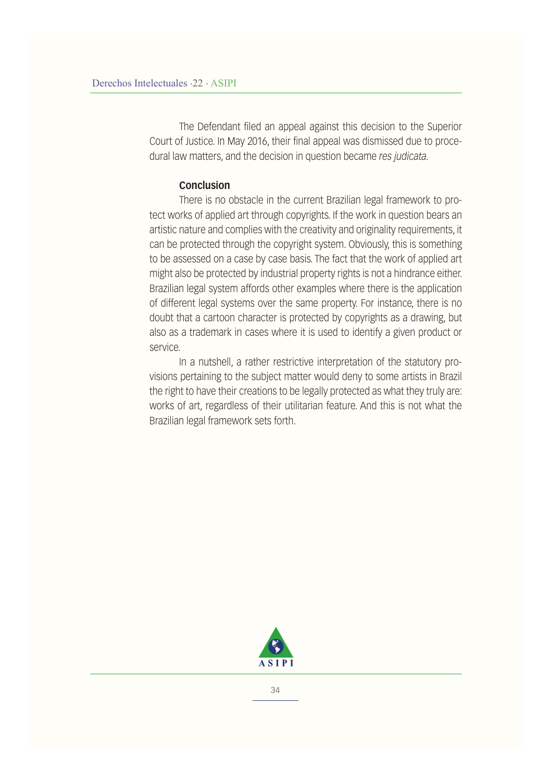The Defendant filed an appeal against this decision to the Superior Court of Justice. In May 2016, their final appeal was dismissed due to procedural law matters, and the decision in question became *res judicata.*

#### **Conclusion**

There is no obstacle in the current Brazilian legal framework to protect works of applied art through copyrights. If the work in question bears an artistic nature and complies with the creativity and originality requirements, it can be protected through the copyright system. Obviously, this is something to be assessed on a case by case basis. The fact that the work of applied art might also be protected by industrial property rights is not a hindrance either. Brazilian legal system affords other examples where there is the application of different legal systems over the same property. For instance, there is no doubt that a cartoon character is protected by copyrights as a drawing, but also as a trademark in cases where it is used to identify a given product or service.

In a nutshell, a rather restrictive interpretation of the statutory provisions pertaining to the subject matter would deny to some artists in Brazil the right to have their creations to be legally protected as what they truly are: works of art, regardless of their utilitarian feature. And this is not what the Brazilian legal framework sets forth.

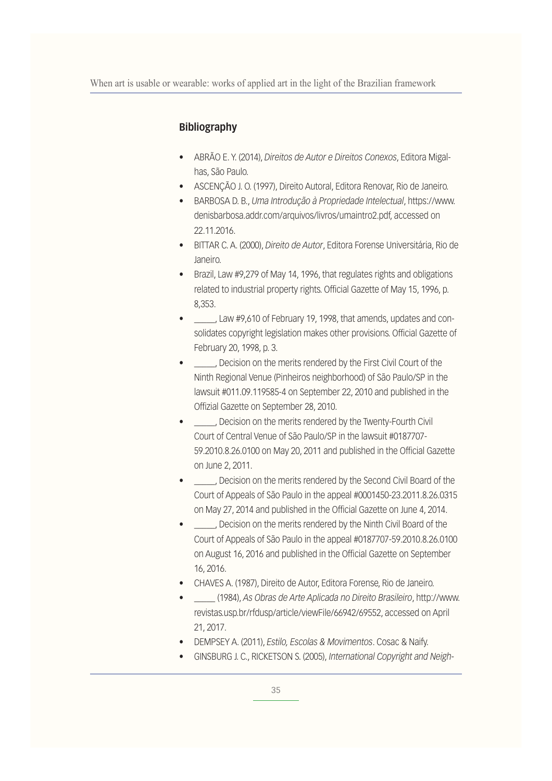#### **Bibliography**

- ABRÃO E. Y. (2014), Direitos de Autor e Direitos Conexos, Editora Migalhas, São Paulo.
- · ASCENÇÃO J. O. (1997), Direito Autoral, Editora Renovar, Rio de Janeiro.
- **·** BARBOSA D. B., Uma Introdução à Propriedade Intelectual, https://www. denisbarbosa.addr.com/arquivos/livros/umaintro2.pdf, accessed on 22.11.2016.
- **BITTAR C. A. (2000), Direito de Autor, Editora Forense Universitária, Rio de** Janeiro.
- Brazil, Law #9,279 of May 14, 1996, that regulates rights and obligations related to industrial property rights. Official Gazette of May 15, 1996, p. 8,353.
- , Law #9,610 of February 19, 1998, that amends, updates and consolidates copyright legislation makes other provisions. Official Gazette of February 20, 1998, p. 3.
- . Decision on the merits rendered by the First Civil Court of the Ninth Regional Venue (Pinheiros neighborhood) of São Paulo/SP in the lawsuit #011.09.119585-4 on September 22, 2010 and published in the Offizial Gazette on September 28, 2010.
- , Decision on the merits rendered by the Twenty-Fourth Civil Court of Central Venue of São Paulo/SP in the lawsuit #0187707- 59.2010.8.26.0100 on May 20, 2011 and published in the Official Gazette on June 2, 2011.
- s ... Decision on the merits rendered by the Second Civil Board of the Court of Appeals of São Paulo in the appeal #0001450-23.2011.8.26.0315 on May 27, 2014 and published in the Official Gazette on June 4, 2014.
- , Decision on the merits rendered by the Ninth Civil Board of the Court of Appeals of São Paulo in the appeal #0187707-59.2010.8.26.0100 on August 16, 2016 and published in the Official Gazette on September 16, 2016.
- CHAVES A. (1987), Direito de Autor, Editora Forense, Rio de Janeiro.
- s ????? *As Obras de Arte Aplicada no Direito Brasileiro*, http://www. revistas.usp.br/rfdusp/article/viewFile/66942/69552, accessed on April 21, 2017.
- **•** DEMPSEY A. (2011), *Estilo, Escolas & Movimentos*. Cosac & Naify.
- GINSBURG J. C., RICKETSON S. (2005), International Copyright and Neigh-